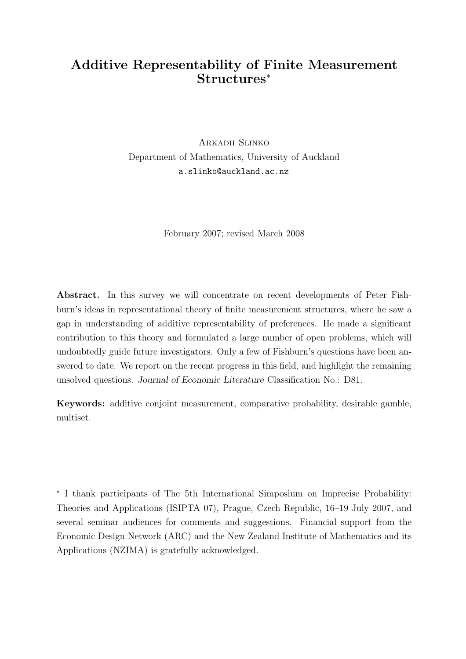# Additive Representability of Finite Measurement Structures<sup>∗</sup>

Arkadii Slinko Department of Mathematics, University of Auckland a.slinko@auckland.ac.nz

February 2007; revised March 2008

Abstract. In this survey we will concentrate on recent developments of Peter Fishburn's ideas in representational theory of finite measurement structures, where he saw a gap in understanding of additive representability of preferences. He made a significant contribution to this theory and formulated a large number of open problems, which will undoubtedly guide future investigators. Only a few of Fishburn's questions have been answered to date. We report on the recent progress in this field, and highlight the remaining unsolved questions. Journal of Economic Literature Classification No.: D81.

Keywords: additive conjoint measurement, comparative probability, desirable gamble, multiset.

∗ I thank participants of The 5th International Simposium on Imprecise Probability: Theories and Applications (ISIPTA 07), Prague, Czech Republic, 16–19 July 2007, and several seminar audiences for comments and suggestions. Financial support from the Economic Design Network (ARC) and the New Zealand Institute of Mathematics and its Applications (NZIMA) is gratefully acknowledged.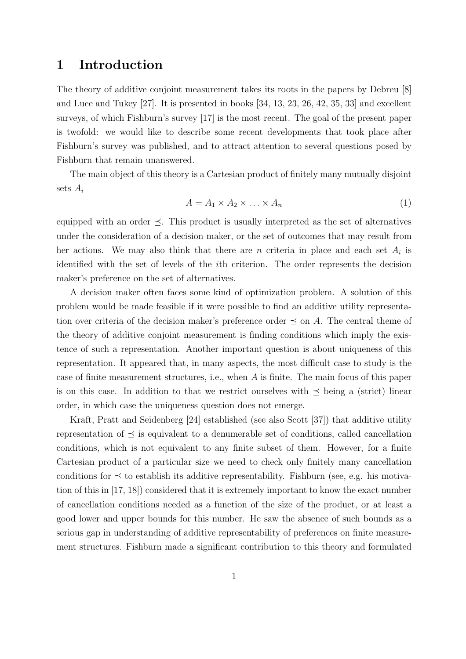## 1 Introduction

The theory of additive conjoint measurement takes its roots in the papers by Debreu [8] and Luce and Tukey [27]. It is presented in books [34, 13, 23, 26, 42, 35, 33] and excellent surveys, of which Fishburn's survey [17] is the most recent. The goal of the present paper is twofold: we would like to describe some recent developments that took place after Fishburn's survey was published, and to attract attention to several questions posed by Fishburn that remain unanswered.

The main object of this theory is a Cartesian product of finitely many mutually disjoint sets  $A_i$ 

$$
A = A_1 \times A_2 \times \ldots \times A_n \tag{1}
$$

equipped with an order  $\preceq$ . This product is usually interpreted as the set of alternatives under the consideration of a decision maker, or the set of outcomes that may result from her actions. We may also think that there are n criteria in place and each set  $A_i$  is identified with the set of levels of the ith criterion. The order represents the decision maker's preference on the set of alternatives.

A decision maker often faces some kind of optimization problem. A solution of this problem would be made feasible if it were possible to find an additive utility representation over criteria of the decision maker's preference order  $\preceq$  on A. The central theme of the theory of additive conjoint measurement is finding conditions which imply the existence of such a representation. Another important question is about uniqueness of this representation. It appeared that, in many aspects, the most difficult case to study is the case of finite measurement structures, i.e., when A is finite. The main focus of this paper is on this case. In addition to that we restrict ourselves with  $\preceq$  being a (strict) linear order, in which case the uniqueness question does not emerge.

Kraft, Pratt and Seidenberg [24] established (see also Scott [37]) that additive utility representation of  $\preceq$  is equivalent to a denumerable set of conditions, called cancellation conditions, which is not equivalent to any finite subset of them. However, for a finite Cartesian product of a particular size we need to check only finitely many cancellation conditions for  $\preceq$  to establish its additive representability. Fishburn (see, e.g. his motivation of this in [17, 18]) considered that it is extremely important to know the exact number of cancellation conditions needed as a function of the size of the product, or at least a good lower and upper bounds for this number. He saw the absence of such bounds as a serious gap in understanding of additive representability of preferences on finite measurement structures. Fishburn made a significant contribution to this theory and formulated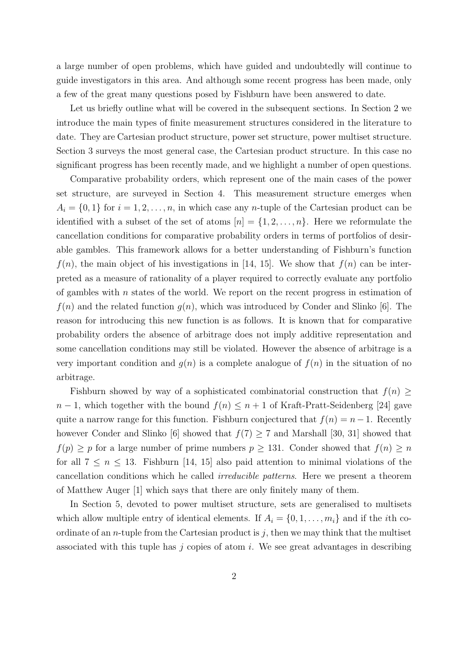a large number of open problems, which have guided and undoubtedly will continue to guide investigators in this area. And although some recent progress has been made, only a few of the great many questions posed by Fishburn have been answered to date.

Let us briefly outline what will be covered in the subsequent sections. In Section 2 we introduce the main types of finite measurement structures considered in the literature to date. They are Cartesian product structure, power set structure, power multiset structure. Section 3 surveys the most general case, the Cartesian product structure. In this case no significant progress has been recently made, and we highlight a number of open questions.

Comparative probability orders, which represent one of the main cases of the power set structure, are surveyed in Section 4. This measurement structure emerges when  $A_i = \{0, 1\}$  for  $i = 1, 2, ..., n$ , in which case any *n*-tuple of the Cartesian product can be identified with a subset of the set of atoms  $[n] = \{1, 2, \ldots, n\}$ . Here we reformulate the cancellation conditions for comparative probability orders in terms of portfolios of desirable gambles. This framework allows for a better understanding of Fishburn's function  $f(n)$ , the main object of his investigations in [14, 15]. We show that  $f(n)$  can be interpreted as a measure of rationality of a player required to correctly evaluate any portfolio of gambles with  $n$  states of the world. We report on the recent progress in estimation of  $f(n)$  and the related function  $g(n)$ , which was introduced by Conder and Slinko [6]. The reason for introducing this new function is as follows. It is known that for comparative probability orders the absence of arbitrage does not imply additive representation and some cancellation conditions may still be violated. However the absence of arbitrage is a very important condition and  $g(n)$  is a complete analogue of  $f(n)$  in the situation of no arbitrage.

Fishburn showed by way of a sophisticated combinatorial construction that  $f(n) \geq$  $n-1$ , which together with the bound  $f(n) \leq n+1$  of Kraft-Pratt-Seidenberg [24] gave quite a narrow range for this function. Fishburn conjectured that  $f(n) = n - 1$ . Recently however Conder and Slinko [6] showed that  $f(7) \geq 7$  and Marshall [30, 31] showed that  $f(p) \geq p$  for a large number of prime numbers  $p \geq 131$ . Conder showed that  $f(n) \geq n$ for all  $7 \leq n \leq 13$ . Fishburn [14, 15] also paid attention to minimal violations of the cancellation conditions which he called irreducible patterns. Here we present a theorem of Matthew Auger [1] which says that there are only finitely many of them.

In Section 5, devoted to power multiset structure, sets are generalised to multisets which allow multiple entry of identical elements. If  $A_i = \{0, 1, \ldots, m_i\}$  and if the *i*th coordinate of an *n*-tuple from the Cartesian product is  $j$ , then we may think that the multiset associated with this tuple has  $j$  copies of atom  $i$ . We see great advantages in describing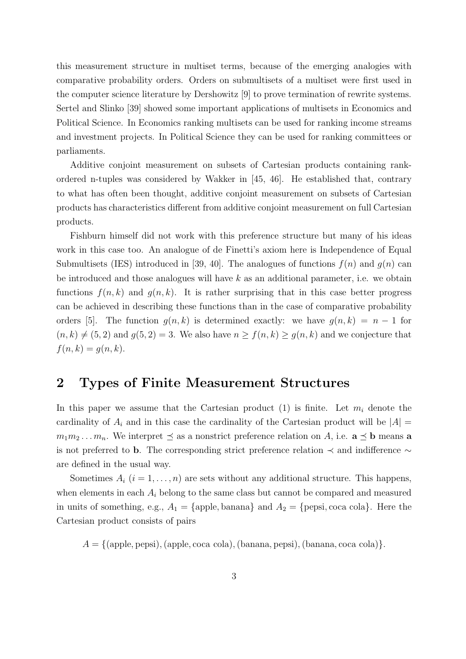this measurement structure in multiset terms, because of the emerging analogies with comparative probability orders. Orders on submultisets of a multiset were first used in the computer science literature by Dershowitz [9] to prove termination of rewrite systems. Sertel and Slinko [39] showed some important applications of multisets in Economics and Political Science. In Economics ranking multisets can be used for ranking income streams and investment projects. In Political Science they can be used for ranking committees or parliaments.

Additive conjoint measurement on subsets of Cartesian products containing rankordered n-tuples was considered by Wakker in [45, 46]. He established that, contrary to what has often been thought, additive conjoint measurement on subsets of Cartesian products has characteristics different from additive conjoint measurement on full Cartesian products.

Fishburn himself did not work with this preference structure but many of his ideas work in this case too. An analogue of de Finetti's axiom here is Independence of Equal Submultisets (IES) introduced in [39, 40]. The analogues of functions  $f(n)$  and  $g(n)$  can be introduced and those analogues will have  $k$  as an additional parameter, i.e. we obtain functions  $f(n, k)$  and  $g(n, k)$ . It is rather surprising that in this case better progress can be achieved in describing these functions than in the case of comparative probability orders [5]. The function  $g(n, k)$  is determined exactly: we have  $g(n, k) = n - 1$  for  $(n, k) \neq (5, 2)$  and  $g(5, 2) = 3$ . We also have  $n \geq f(n, k) \geq g(n, k)$  and we conjecture that  $f(n, k) = g(n, k).$ 

## 2 Types of Finite Measurement Structures

In this paper we assume that the Cartesian product (1) is finite. Let  $m_i$  denote the cardinality of  $A_i$  and in this case the cardinality of the Cartesian product will be  $|A| =$  $m_1m_2...m_n$ . We interpret  $\preceq$  as a nonstrict preference relation on A, i.e.  $\mathbf{a} \preceq \mathbf{b}$  means  $\mathbf{a}$ is not preferred to b. The corresponding strict preference relation  $\prec$  and indifference  $\sim$ are defined in the usual way.

Sometimes  $A_i$   $(i = 1, \ldots, n)$  are sets without any additional structure. This happens, when elements in each  $A_i$  belong to the same class but cannot be compared and measured in units of something, e.g.,  $A_1 = \{\text{apple}, \text{banana}\}\$ and  $A_2 = \{\text{pepsi}, \text{coca coal}\}\$ . Here the Cartesian product consists of pairs

 $A = \{(\text{apple}, \text{pepsi}), (\text{apple}, \text{coca code}), (\text{banana}, \text{pepsi}), (\text{banana}, \text{coca code})\}.$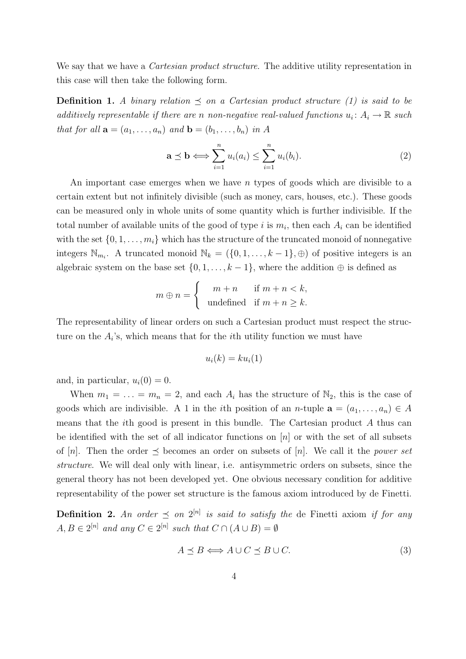We say that we have a *Cartesian product structure*. The additive utility representation in this case will then take the following form.

**Definition 1.** A binary relation  $\preceq$  on a Cartesian product structure (1) is said to be additively representable if there are n non-negative real-valued functions  $u_i: A_i \to \mathbb{R}$  such that for all  $\mathbf{a} = (a_1, \ldots, a_n)$  and  $\mathbf{b} = (b_1, \ldots, b_n)$  in A

$$
\mathbf{a} \preceq \mathbf{b} \Longleftrightarrow \sum_{i=1}^{n} u_i(a_i) \le \sum_{i=1}^{n} u_i(b_i). \tag{2}
$$

An important case emerges when we have n types of goods which are divisible to a certain extent but not infinitely divisible (such as money, cars, houses, etc.). These goods can be measured only in whole units of some quantity which is further indivisible. If the total number of available units of the good of type i is  $m_i$ , then each  $A_i$  can be identified with the set  $\{0, 1, \ldots, m_i\}$  which has the structure of the truncated monoid of nonnegative integers  $\mathbb{N}_{m_i}$ . A truncated monoid  $\mathbb{N}_k = (\{0, 1, \ldots, k-1\}, \oplus)$  of positive integers is an algebraic system on the base set  $\{0, 1, \ldots, k-1\}$ , where the addition  $\oplus$  is defined as

$$
m \oplus n = \begin{cases} m+n & \text{if } m+n < k, \\ \text{undefined} & \text{if } m+n \geq k. \end{cases}
$$

The representability of linear orders on such a Cartesian product must respect the structure on the  $A_i$ 's, which means that for the *i*<sup>th</sup> utility function we must have

$$
u_i(k) = k u_i(1)
$$

and, in particular,  $u_i(0) = 0$ .

When  $m_1 = \ldots = m_n = 2$ , and each  $A_i$  has the structure of  $\mathbb{N}_2$ , this is the case of goods which are indivisible. A 1 in the *i*th position of an *n*-tuple  $\mathbf{a} = (a_1, \ldots, a_n) \in A$ means that the *i*th good is present in this bundle. The Cartesian product  $\tilde{A}$  thus can be identified with the set of all indicator functions on  $[n]$  or with the set of all subsets of [n]. Then the order  $\preceq$  becomes an order on subsets of [n]. We call it the power set structure. We will deal only with linear, i.e. antisymmetric orders on subsets, since the general theory has not been developed yet. One obvious necessary condition for additive representability of the power set structure is the famous axiom introduced by de Finetti.

**Definition 2.** An order  $\preceq$  on  $2^{[n]}$  is said to satisfy the de Finetti axiom if for any  $A, B \in 2^{[n]}$  and any  $C \in 2^{[n]}$  such that  $C \cap (A \cup B) = \emptyset$ 

$$
A \preceq B \Longleftrightarrow A \cup C \preceq B \cup C. \tag{3}
$$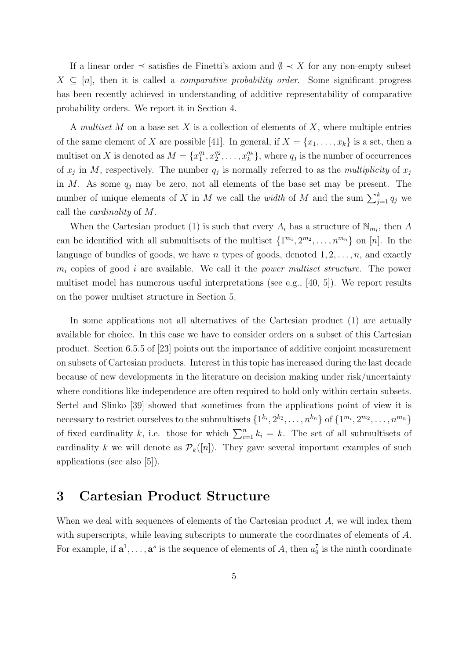If a linear order  $\preceq$  satisfies de Finetti's axiom and  $\emptyset \prec X$  for any non-empty subset  $X \subseteq [n]$ , then it is called a *comparative probability order*. Some significant progress has been recently achieved in understanding of additive representability of comparative probability orders. We report it in Section 4.

A multiset M on a base set X is a collection of elements of X, where multiple entries of the same element of X are possible [41]. In general, if  $X = \{x_1, \ldots, x_k\}$  is a set, then a multiset on X is denoted as  $M = \{x_1^{q_1}\}$  $_1^{q_1}, x_2^{q_2}$  $x_2^{q_2}, \ldots, x_k^{q_k}$  $\binom{q_k}{k}$ , where  $q_j$  is the number of occurrences of  $x_j$  in M, respectively. The number  $q_j$  is normally referred to as the *multiplicity* of  $x_j$ in  $M$ . As some  $q_i$  may be zero, not all elements of the base set may be present. The number of unique elements of X in M we call the *width* of M and the sum  $\sum_{j=1}^{k} q_j$  we call the cardinality of M.

When the Cartesian product (1) is such that every  $A_i$  has a structure of  $\mathbb{N}_{m_i}$ , then A can be identified with all submultisets of the multiset  $\{1^{m_i}, 2^{m_2}, \ldots, n^{m_n}\}$  on [n]. In the language of bundles of goods, we have n types of goods, denoted  $1, 2, \ldots, n$ , and exactly  $m_i$  copies of good i are available. We call it the *power multiset structure*. The power multiset model has numerous useful interpretations (see e.g., [40, 5]). We report results on the power multiset structure in Section 5.

In some applications not all alternatives of the Cartesian product (1) are actually available for choice. In this case we have to consider orders on a subset of this Cartesian product. Section 6.5.5 of [23] points out the importance of additive conjoint measurement on subsets of Cartesian products. Interest in this topic has increased during the last decade because of new developments in the literature on decision making under risk/uncertainty where conditions like independence are often required to hold only within certain subsets. Sertel and Slinko [39] showed that sometimes from the applications point of view it is necessary to restrict ourselves to the submultisets  $\{1^{k_i}, 2^{k_2}, \ldots, n^{k_n}\}$  of  $\{1^{m_i}, 2^{m_2}, \ldots, n^{m_n}\}$ of fixed cardinality k, i.e. those for which  $\sum_{i=1}^{n} k_i = k$ . The set of all submultisets of cardinality k we will denote as  $\mathcal{P}_k([n])$ . They gave several important examples of such applications (see also [5]).

## 3 Cartesian Product Structure

When we deal with sequences of elements of the Cartesian product A, we will index them with superscripts, while leaving subscripts to numerate the coordinates of elements of A. For example, if  $\mathbf{a}^1, \ldots, \mathbf{a}^s$  is the sequence of elements of A, then  $a_9^7$  is the ninth coordinate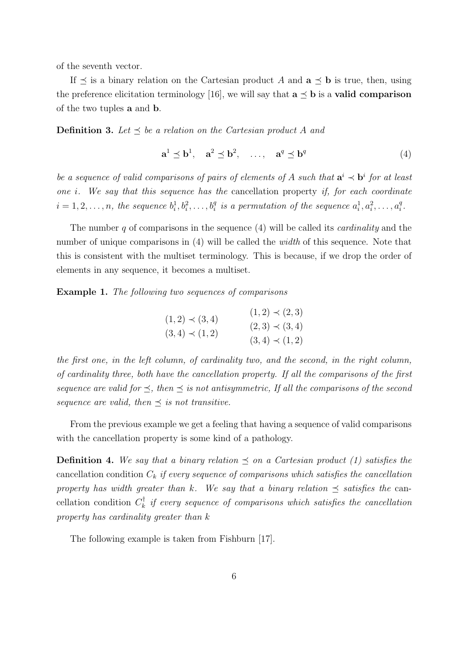of the seventh vector.

If  $\preceq$  is a binary relation on the Cartesian product A and  $\mathbf{a} \preceq \mathbf{b}$  is true, then, using the preference elicitation terminology [16], we will say that  $a \preceq b$  is a **valid comparison** of the two tuples a and b.

**Definition 3.** Let  $\leq$  be a relation on the Cartesian product A and

$$
\mathbf{a}^1 \preceq \mathbf{b}^1, \quad \mathbf{a}^2 \preceq \mathbf{b}^2, \quad \dots, \quad \mathbf{a}^q \preceq \mathbf{b}^q \tag{4}
$$

be a sequence of valid comparisons of pairs of elements of A such that  $a^i \prec b^i$  for at least one i. We say that this sequence has the cancellation property if, for each coordinate  $i=1,2,\ldots,n$ , the sequence  $b_i^1,b_i^2,\ldots,b_i^q$  is a permutation of the sequence  $a_i^1,a_i^2,\ldots,a_i^q$  $_i^q.$ 

The number  $q$  of comparisons in the sequence  $(4)$  will be called its *cardinality* and the number of unique comparisons in (4) will be called the *width* of this sequence. Note that this is consistent with the multiset terminology. This is because, if we drop the order of elements in any sequence, it becomes a multiset.

Example 1. The following two sequences of comparisons

$$
(1,2) \prec (3,4) \qquad (1,2) \prec (2,3)
$$
  

$$
(3,4) \prec (1,2) \qquad (3,4) \prec (1,2)
$$
  

$$
(3,4) \prec (1,2)
$$

the first one, in the left column, of cardinality two, and the second, in the right column, of cardinality three, both have the cancellation property. If all the comparisons of the first sequence are valid for  $\preceq$ , then  $\preceq$  is not antisymmetric, If all the comparisons of the second sequence are valid, then  $\preceq$  is not transitive.

From the previous example we get a feeling that having a sequence of valid comparisons with the cancellation property is some kind of a pathology.

**Definition 4.** We say that a binary relation  $\preceq$  on a Cartesian product (1) satisfies the cancellation condition  $C_k$  if every sequence of comparisons which satisfies the cancellation property has width greater than k. We say that a binary relation  $\preceq$  satisfies the cancellation condition  $C_k^{\dagger}$  $\frac{1}{k}$  if every sequence of comparisons which satisfies the cancellation property has cardinality greater than k

The following example is taken from Fishburn [17].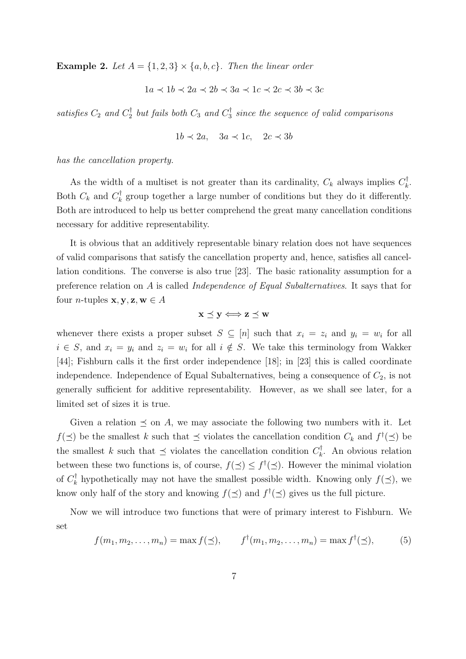**Example 2.** Let  $A = \{1, 2, 3\} \times \{a, b, c\}$ . Then the linear order

$$
1a \prec 1b \prec 2a \prec 2b \prec 3a \prec 1c \prec 2c \prec 3b \prec 3c
$$

satisfies  $C_2$  and  $C_2^{\dagger}$  $C_1^{\dagger}$  but fails both  $C_3$  and  $C_3^{\dagger}$  $\frac{1}{3}$  since the sequence of valid comparisons

$$
1b \prec 2a, \quad 3a \prec 1c, \quad 2c \prec 3b
$$

has the cancellation property.

As the width of a multiset is not greater than its cardinality,  $C_k$  always implies  $C_k^{\dagger}$  $\frac{1}{k}$ . Both  $C_k$  and  $C_k^{\dagger}$  $\mathcal{F}_k$  group together a large number of conditions but they do it differently. Both are introduced to help us better comprehend the great many cancellation conditions necessary for additive representability.

It is obvious that an additively representable binary relation does not have sequences of valid comparisons that satisfy the cancellation property and, hence, satisfies all cancellation conditions. The converse is also true [23]. The basic rationality assumption for a preference relation on A is called Independence of Equal Subalternatives. It says that for four *n*-tuples  $\mathbf{x}, \mathbf{y}, \mathbf{z}, \mathbf{w} \in A$ 

$$
\mathbf{x} \preceq \mathbf{y} \Longleftrightarrow \mathbf{z} \preceq \mathbf{w}
$$

whenever there exists a proper subset  $S \subseteq [n]$  such that  $x_i = z_i$  and  $y_i = w_i$  for all  $i \in S$ , and  $x_i = y_i$  and  $z_i = w_i$  for all  $i \notin S$ . We take this terminology from Wakker [44]; Fishburn calls it the first order independence [18]; in [23] this is called coordinate independence. Independence of Equal Subalternatives, being a consequence of  $C_2$ , is not generally sufficient for additive representability. However, as we shall see later, for a limited set of sizes it is true.

Given a relation  $\preceq$  on A, we may associate the following two numbers with it. Let  $f(\preceq)$  be the smallest k such that  $\preceq$  violates the cancellation condition  $C_k$  and  $f^{\dagger}(\preceq)$  be the smallest k such that  $\preceq$  violates the cancellation condition  $C_k^{\dagger}$  $\mathbf{k}$ . An obvious relation between these two functions is, of course,  $f(\preceq) \leq f^{\dagger}(\preceq)$ . However the minimal violation of  $C_k^\dagger$  $\mathcal{H}_k^{\dagger}$  hypothetically may not have the smallest possible width. Knowing only  $f(\preceq)$ , we know only half of the story and knowing  $f(\preceq)$  and  $f^{\dagger}(\preceq)$  gives us the full picture.

Now we will introduce two functions that were of primary interest to Fishburn. We set

$$
f(m_1, m_2,..., m_n) = \max f(\preceq),
$$
  $f^{\dagger}(m_1, m_2,..., m_n) = \max f^{\dagger}(\preceq),$  (5)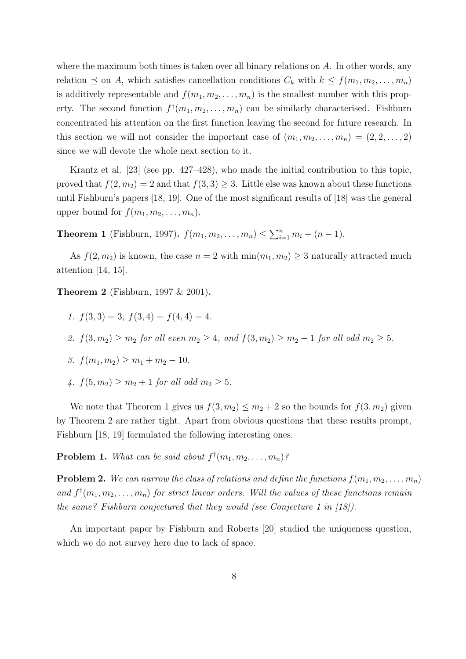where the maximum both times is taken over all binary relations on  $A$ . In other words, any relation  $\leq$  on A, which satisfies cancellation conditions  $C_k$  with  $k \leq f(m_1, m_2, \ldots, m_n)$ is additively representable and  $f(m_1, m_2, \ldots, m_n)$  is the smallest number with this property. The second function  $f^{\dagger}(m_1, m_2, \ldots, m_n)$  can be similarly characterised. Fishburn concentrated his attention on the first function leaving the second for future research. In this section we will not consider the important case of  $(m_1, m_2, \ldots, m_n) = (2, 2, \ldots, 2)$ since we will devote the whole next section to it.

Krantz et al. [23] (see pp. 427–428), who made the initial contribution to this topic, proved that  $f(2, m_2) = 2$  and that  $f(3, 3) \geq 3$ . Little else was known about these functions until Fishburn's papers [18, 19]. One of the most significant results of [18] was the general upper bound for  $f(m_1, m_2, \ldots, m_n)$ .

**Theorem 1** (Fishburn, 1997).  $f(m_1, m_2, ..., m_n) \le \sum_{i=1}^n m_i - (n-1)$ .

As  $f(2, m_2)$  is known, the case  $n = 2$  with  $\min(m_1, m_2) \geq 3$  naturally attracted much attention [14, 15].

Theorem 2 (Fishburn, 1997 & 2001).

- 1.  $f(3,3) = 3$ ,  $f(3,4) = f(4,4) = 4$ .
- 2.  $f(3, m_2) \ge m_2$  for all even  $m_2 \ge 4$ , and  $f(3, m_2) \ge m_2 1$  for all odd  $m_2 \ge 5$ .

3. 
$$
f(m_1, m_2) \ge m_1 + m_2 - 10
$$
.

4.  $f(5, m_2) > m_2 + 1$  for all odd  $m_2 > 5$ .

We note that Theorem 1 gives us  $f(3, m_2) \le m_2 + 2$  so the bounds for  $f(3, m_2)$  given by Theorem 2 are rather tight. Apart from obvious questions that these results prompt, Fishburn [18, 19] formulated the following interesting ones.

**Problem 1.** What can be said about  $f^{\dagger}(m_1, m_2, \ldots, m_n)$ ?

**Problem 2.** We can narrow the class of relations and define the functions  $f(m_1, m_2, \ldots, m_n)$ and  $f^{\dagger}(m_1, m_2, \ldots, m_n)$  for strict linear orders. Will the values of these functions remain the same? Fishburn conjectured that they would (see Conjecture 1 in  $(18)$ ).

An important paper by Fishburn and Roberts [20] studied the uniqueness question, which we do not survey here due to lack of space.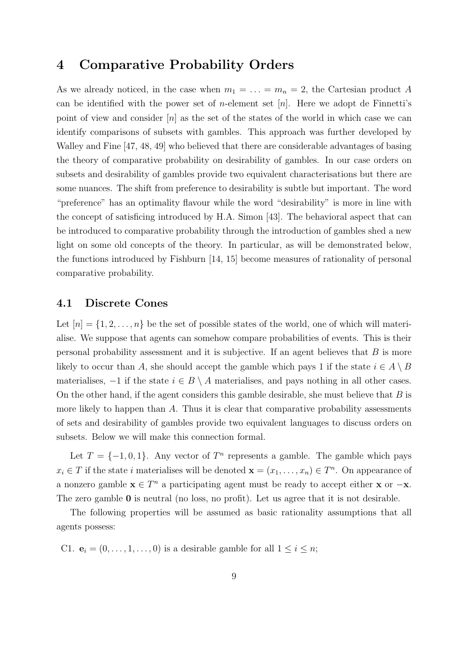## 4 Comparative Probability Orders

As we already noticed, in the case when  $m_1 = \ldots = m_n = 2$ , the Cartesian product A can be identified with the power set of *n*-element set  $[n]$ . Here we adopt de Finnetti's point of view and consider  $[n]$  as the set of the states of the world in which case we can identify comparisons of subsets with gambles. This approach was further developed by Walley and Fine [47, 48, 49] who believed that there are considerable advantages of basing the theory of comparative probability on desirability of gambles. In our case orders on subsets and desirability of gambles provide two equivalent characterisations but there are some nuances. The shift from preference to desirability is subtle but important. The word "preference" has an optimality flavour while the word "desirability" is more in line with the concept of satisficing introduced by H.A. Simon [43]. The behavioral aspect that can be introduced to comparative probability through the introduction of gambles shed a new light on some old concepts of the theory. In particular, as will be demonstrated below, the functions introduced by Fishburn [14, 15] become measures of rationality of personal comparative probability.

### 4.1 Discrete Cones

Let  $[n] = \{1, 2, \ldots, n\}$  be the set of possible states of the world, one of which will materialise. We suppose that agents can somehow compare probabilities of events. This is their personal probability assessment and it is subjective. If an agent believes that  $B$  is more likely to occur than A, she should accept the gamble which pays 1 if the state  $i \in A \setminus B$ materialises,  $-1$  if the state  $i \in B \setminus A$  materialises, and pays nothing in all other cases. On the other hand, if the agent considers this gamble desirable, she must believe that  $B$  is more likely to happen than  $A$ . Thus it is clear that comparative probability assessments of sets and desirability of gambles provide two equivalent languages to discuss orders on subsets. Below we will make this connection formal.

Let  $T = \{-1, 0, 1\}$ . Any vector of  $T<sup>n</sup>$  represents a gamble. The gamble which pays  $x_i \in T$  if the state i materialises will be denoted  $\mathbf{x} = (x_1, \ldots, x_n) \in T^n$ . On appearance of a nonzero gamble  $\mathbf{x} \in T^n$  a participating agent must be ready to accept either  $\mathbf{x}$  or  $-\mathbf{x}$ . The zero gamble 0 is neutral (no loss, no profit). Let us agree that it is not desirable.

The following properties will be assumed as basic rationality assumptions that all agents possess:

C1.  $\mathbf{e}_i = (0, \ldots, 1, \ldots, 0)$  is a desirable gamble for all  $1 \leq i \leq n$ ;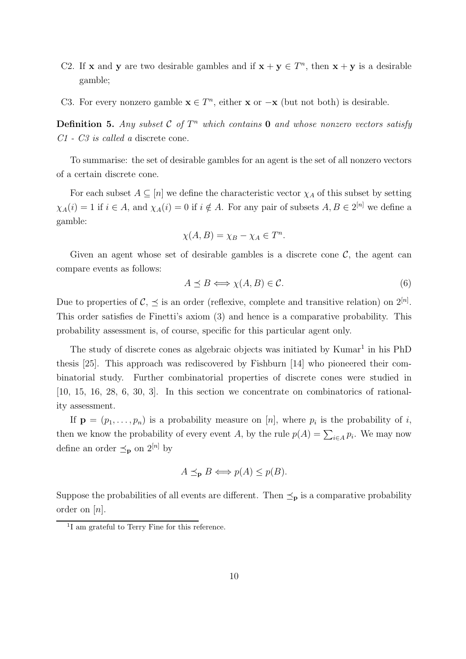- C2. If **x** and **y** are two desirable gambles and if  $\mathbf{x} + \mathbf{y} \in T^n$ , then  $\mathbf{x} + \mathbf{y}$  is a desirable gamble;
- C3. For every nonzero gamble  $\mathbf{x} \in T^n$ , either  $\mathbf{x}$  or  $-\mathbf{x}$  (but not both) is desirable.

**Definition 5.** Any subset  $\mathcal{C}$  of  $T^n$  which contains **0** and whose nonzero vectors satisfy C1 - C3 is called a discrete cone.

To summarise: the set of desirable gambles for an agent is the set of all nonzero vectors of a certain discrete cone.

For each subset  $A \subseteq [n]$  we define the characteristic vector  $\chi_A$  of this subset by setting  $\chi_A(i) = 1$  if  $i \in A$ , and  $\chi_A(i) = 0$  if  $i \notin A$ . For any pair of subsets  $A, B \in 2^{[n]}$  we define a gamble:

$$
\chi(A, B) = \chi_B - \chi_A \in T^n.
$$

Given an agent whose set of desirable gambles is a discrete cone  $\mathcal{C}$ , the agent can compare events as follows:

$$
A \preceq B \Longleftrightarrow \chi(A, B) \in \mathcal{C}.\tag{6}
$$

Due to properties of  $\mathcal{C}, \preceq$  is an order (reflexive, complete and transitive relation) on  $2^{[n]}$ . This order satisfies de Finetti's axiom (3) and hence is a comparative probability. This probability assessment is, of course, specific for this particular agent only.

The study of discrete cones as algebraic objects was initiated by Kumar<sup>1</sup> in his PhD thesis [25]. This approach was rediscovered by Fishburn [14] who pioneered their combinatorial study. Further combinatorial properties of discrete cones were studied in [10, 15, 16, 28, 6, 30, 3]. In this section we concentrate on combinatorics of rationality assessment.

If  $\mathbf{p} = (p_1, \ldots, p_n)$  is a probability measure on [n], where  $p_i$  is the probability of i, then we know the probability of every event A, by the rule  $p(A) = \sum_{i \in A} p_i$ . We may now define an order  $\preceq_{\mathbf{p}}$  on  $2^{[n]}$  by

$$
A \preceq_{\mathbf{p}} B \Longleftrightarrow p(A) \le p(B).
$$

Suppose the probabilities of all events are different. Then  $\preceq_{\mathbf{p}}$  is a comparative probability order on [n].

<sup>&</sup>lt;sup>1</sup>I am grateful to Terry Fine for this reference.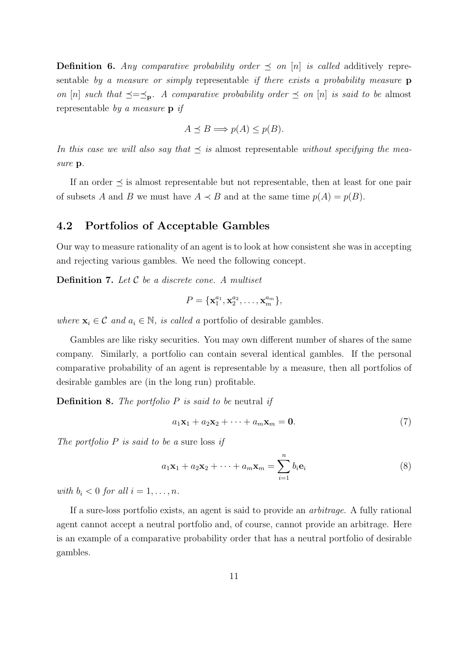**Definition 6.** Any comparative probability order  $\preceq$  on [n] is called additively representable by a measure or simply representable if there exists a probability measure **p** on [n] such that  $\preceq=\preceq_{\mathbf{p}}$ . A comparative probability order  $\preceq$  on [n] is said to be almost representable by a measure p if

$$
A \preceq B \Longrightarrow p(A) \le p(B).
$$

In this case we will also say that  $\preceq$  is almost representable without specifying the measure p.

If an order  $\preceq$  is almost representable but not representable, then at least for one pair of subsets A and B we must have  $A \prec B$  and at the same time  $p(A) = p(B)$ .

#### 4.2 Portfolios of Acceptable Gambles

Our way to measure rationality of an agent is to look at how consistent she was in accepting and rejecting various gambles. We need the following concept.

**Definition 7.** Let  $C$  be a discrete cone. A multiset

$$
P = {\mathbf{x}_1^{a_1}, \mathbf{x}_2^{a_2}, \dots, \mathbf{x}_m^{a_m}},
$$

where  $\mathbf{x}_i \in \mathcal{C}$  and  $a_i \in \mathbb{N}$ , is called a portfolio of desirable gambles.

Gambles are like risky securities. You may own different number of shares of the same company. Similarly, a portfolio can contain several identical gambles. If the personal comparative probability of an agent is representable by a measure, then all portfolios of desirable gambles are (in the long run) profitable.

**Definition 8.** The portfolio  $P$  is said to be neutral if

$$
a_1\mathbf{x}_1 + a_2\mathbf{x}_2 + \dots + a_m\mathbf{x}_m = \mathbf{0}.\tag{7}
$$

The portfolio  $P$  is said to be a sure loss if

$$
a_1\mathbf{x}_1 + a_2\mathbf{x}_2 + \dots + a_m\mathbf{x}_m = \sum_{i=1}^n b_i \mathbf{e}_i
$$
 (8)

with  $b_i < 0$  for all  $i = 1, \ldots, n$ .

If a sure-loss portfolio exists, an agent is said to provide an arbitrage. A fully rational agent cannot accept a neutral portfolio and, of course, cannot provide an arbitrage. Here is an example of a comparative probability order that has a neutral portfolio of desirable gambles.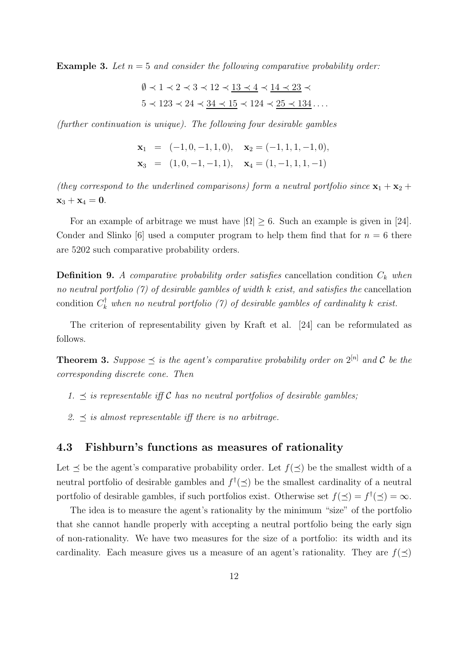**Example 3.** Let  $n = 5$  and consider the following comparative probability order:

$$
\emptyset \prec 1 \prec 2 \prec 3 \prec 12 \prec \underline{13 \prec 4} \prec \underline{14 \prec 23} \prec
$$
  

$$
5 \prec 123 \prec 24 \prec \underline{34 \prec 15} \prec 124 \prec \underline{25 \prec 134} \ldots
$$

(further continuation is unique). The following four desirable gambles

$$
\mathbf{x}_1 = (-1, 0, -1, 1, 0), \quad \mathbf{x}_2 = (-1, 1, 1, -1, 0),
$$
  
\n $\mathbf{x}_3 = (1, 0, -1, -1, 1), \quad \mathbf{x}_4 = (1, -1, 1, 1, -1)$ 

(they correspond to the underlined comparisons) form a neutral portfolio since  $x_1 + x_2 +$  $x_3 + x_4 = 0.$ 

For an example of arbitrage we must have  $|\Omega| \geq 6$ . Such an example is given in [24]. Conder and Slinko [6] used a computer program to help them find that for  $n = 6$  there are 5202 such comparative probability orders.

**Definition 9.** A comparative probability order satisfies cancellation condition  $C_k$  when no neutral portfolio  $(7)$  of desirable gambles of width k exist, and satisfies the cancellation condition  $C_k^{\dagger}$  when no neutral portfolio (7) of desirable gambles of cardinality k exist.

The criterion of representability given by Kraft et al. [24] can be reformulated as follows.

**Theorem 3.** Suppose  $\preceq$  is the agent's comparative probability order on  $2^{[n]}$  and C be the corresponding discrete cone. Then

- 1.  $\preceq$  is representable iff C has no neutral portfolios of desirable gambles;
- 2.  $\preceq$  is almost representable iff there is no arbitrage.

#### 4.3 Fishburn's functions as measures of rationality

Let  $\prec$  be the agent's comparative probability order. Let  $f(\prec)$  be the smallest width of a neutral portfolio of desirable gambles and  $f^{\dagger}(\preceq)$  be the smallest cardinality of a neutral portfolio of desirable gambles, if such portfolios exist. Otherwise set  $f(\preceq) = f^{\dagger}(\preceq) = \infty$ .

The idea is to measure the agent's rationality by the minimum "size" of the portfolio that she cannot handle properly with accepting a neutral portfolio being the early sign of non-rationality. We have two measures for the size of a portfolio: its width and its cardinality. Each measure gives us a measure of an agent's rationality. They are  $f(\prec)$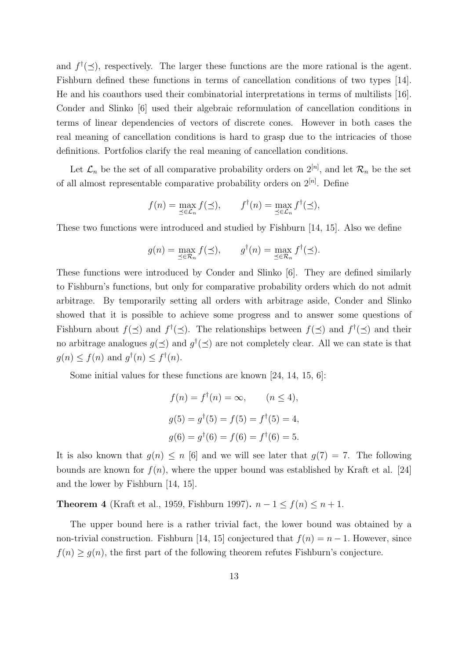and  $f^{\dagger}(\preceq)$ , respectively. The larger these functions are the more rational is the agent. Fishburn defined these functions in terms of cancellation conditions of two types [14]. He and his coauthors used their combinatorial interpretations in terms of multilists [16]. Conder and Slinko [6] used their algebraic reformulation of cancellation conditions in terms of linear dependencies of vectors of discrete cones. However in both cases the real meaning of cancellation conditions is hard to grasp due to the intricacies of those definitions. Portfolios clarify the real meaning of cancellation conditions.

Let  $\mathcal{L}_n$  be the set of all comparative probability orders on  $2^{[n]}$ , and let  $\mathcal{R}_n$  be the set of all almost representable comparative probability orders on  $2^{[n]}$ . Define

$$
f(n) = \max_{\preceq \in \mathcal{L}_n} f(\preceq), \qquad f^{\dagger}(n) = \max_{\preceq \in \mathcal{L}_n} f^{\dagger}(\preceq),
$$

These two functions were introduced and studied by Fishburn [14, 15]. Also we define

$$
g(n) = \max_{\preceq \in \mathcal{R}_n} f(\preceq), \qquad g^{\dagger}(n) = \max_{\preceq \in \mathcal{R}_n} f^{\dagger}(\preceq).
$$

These functions were introduced by Conder and Slinko [6]. They are defined similarly to Fishburn's functions, but only for comparative probability orders which do not admit arbitrage. By temporarily setting all orders with arbitrage aside, Conder and Slinko showed that it is possible to achieve some progress and to answer some questions of Fishburn about  $f(\preceq)$  and  $f^{\dagger}(\preceq)$ . The relationships between  $f(\preceq)$  and  $f^{\dagger}(\preceq)$  and their no arbitrage analogues  $g(\preceq)$  and  $g^{\dagger}(\preceq)$  are not completely clear. All we can state is that  $g(n) \leq f(n)$  and  $g^{\dagger}(n) \leq f^{\dagger}(n)$ .

Some initial values for these functions are known [24, 14, 15, 6]:

$$
f(n) = f^{\dagger}(n) = \infty, \qquad (n \le 4),
$$
  
\n
$$
g(5) = g^{\dagger}(5) = f(5) = f^{\dagger}(5) = 4,
$$
  
\n
$$
g(6) = g^{\dagger}(6) = f(6) = f^{\dagger}(6) = 5.
$$

It is also known that  $g(n) \leq n$  [6] and we will see later that  $g(7) = 7$ . The following bounds are known for  $f(n)$ , where the upper bound was established by Kraft et al. [24] and the lower by Fishburn [14, 15].

Theorem 4 (Kraft et al., 1959, Fishburn 1997).  $n-1 \le f(n) \le n+1$ .

The upper bound here is a rather trivial fact, the lower bound was obtained by a non-trivial construction. Fishburn [14, 15] conjectured that  $f(n) = n - 1$ . However, since  $f(n) \ge g(n)$ , the first part of the following theorem refutes Fishburn's conjecture.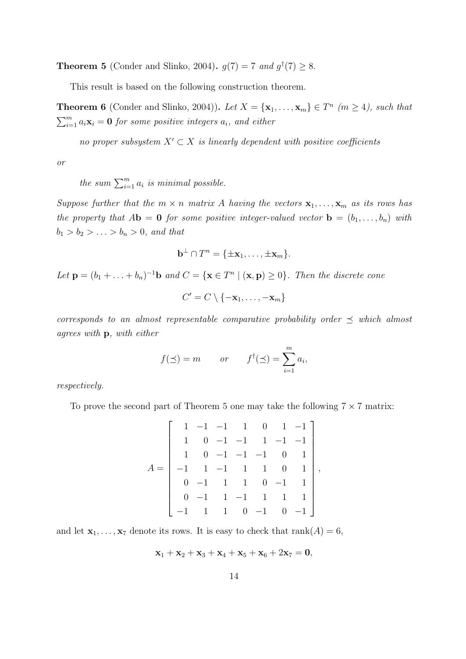**Theorem 5** (Conder and Slinko, 2004).  $g(7) = 7$  and  $g^{\dagger}(7) \ge 8$ .

This result is based on the following construction theorem.

**Theorem 6** (Conder and Slinko, 2004)). Let  $X = {\mathbf{x}_1, ..., \mathbf{x}_m} \in T^n$  ( $m \ge 4$ ), such that  $\sum_{i=1}^{m} a_i \mathbf{x}_i = \mathbf{0}$  for some positive integers  $a_i$ , and either

no proper subsystem  $X' \subset X$  is linearly dependent with positive coefficients

or

the sum  $\sum_{i=1}^{m} a_i$  is minimal possible.

Suppose further that the  $m \times n$  matrix A having the vectors  $x_1, \ldots, x_m$  as its rows has the property that  $A\mathbf{b} = \mathbf{0}$  for some positive integer-valued vector  $\mathbf{b} = (b_1, \ldots, b_n)$  with  $b_1 > b_2 > \ldots > b_n > 0$ , and that

$$
\mathbf{b}^{\perp} \cap T^n = \{\pm \mathbf{x}_1, \ldots, \pm \mathbf{x}_m\}.
$$

Let  $\mathbf{p} = (b_1 + \ldots + b_n)^{-1} \mathbf{b}$  and  $C = \{ \mathbf{x} \in T^n \mid (\mathbf{x}, \mathbf{p}) \ge 0 \}$ . Then the discrete cone

$$
C' = C \setminus \{-\mathbf{x}_1, \ldots, -\mathbf{x}_m\}
$$

corresponds to an almost representable comparative probability order  $\preceq$  which almost agrees with p, with either

$$
f(\preceq) = m
$$
 or  $f^{\dagger}(\preceq) = \sum_{i=1}^{m} a_i$ ,

respectively.

To prove the second part of Theorem 5 one may take the following  $7 \times 7$  matrix:

$$
A = \begin{bmatrix} 1 & -1 & -1 & 1 & 0 & 1 & -1 \\ 1 & 0 & -1 & -1 & 1 & -1 & -1 \\ 1 & 0 & -1 & -1 & -1 & 0 & 1 \\ -1 & 1 & -1 & 1 & 1 & 0 & 1 \\ 0 & -1 & 1 & 1 & 0 & -1 & 1 \\ -1 & 1 & 1 & 0 & -1 & 0 & -1 \end{bmatrix},
$$

and let  $\mathbf{x}_1, \ldots, \mathbf{x}_7$  denote its rows. It is easy to check that  $\text{rank}(A) = 6$ ,

$$
\mathbf{x}_1+\mathbf{x}_2+\mathbf{x}_3+\mathbf{x}_4+\mathbf{x}_5+\mathbf{x}_6+2\mathbf{x}_7=\mathbf{0},
$$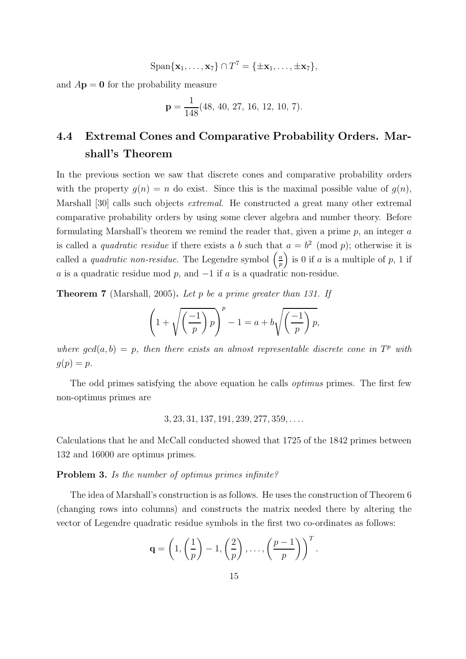$$
\mathrm{Span}\{\mathbf{x}_1,\ldots,\mathbf{x}_7\}\cap T^7=\{\pm\mathbf{x}_1,\ldots,\pm\mathbf{x}_7\},\,
$$

and  $A\mathbf{p} = \mathbf{0}$  for the probability measure

$$
\mathbf{p} = \frac{1}{148}(48, 40, 27, 16, 12, 10, 7).
$$

# 4.4 Extremal Cones and Comparative Probability Orders. Marshall's Theorem

In the previous section we saw that discrete cones and comparative probability orders with the property  $q(n) = n$  do exist. Since this is the maximal possible value of  $q(n)$ , Marshall [30] calls such objects extremal. He constructed a great many other extremal comparative probability orders by using some clever algebra and number theory. Before formulating Marshall's theorem we remind the reader that, given a prime  $p$ , an integer  $a$ is called a *quadratic residue* if there exists a b such that  $a = b^2 \pmod{p}$ ; otherwise it is called a *quadratic non-residue*. The Legendre symbol  $\left(\frac{a}{n}\right)$  $\left(\frac{a}{p}\right)$  is 0 if a is a multiple of p, 1 if a is a quadratic residue mod p, and  $-1$  if a is a quadratic non-residue.

**Theorem 7** (Marshall, 2005). Let p be a prime greater than 131. If

$$
\left(1+\sqrt{\left(\frac{-1}{p}\right)p\right)^p-1} = a+b\sqrt{\left(\frac{-1}{p}\right)p},
$$

where  $gcd(a, b) = p$ , then there exists an almost representable discrete cone in  $T<sup>p</sup>$  with  $g(p) = p.$ 

The odd primes satisfying the above equation he calls optimus primes. The first few non-optimus primes are

3, 23, 31, 137, 191, 239, 277, 359, . . ..

Calculations that he and McCall conducted showed that 1725 of the 1842 primes between 132 and 16000 are optimus primes.

#### Problem 3. Is the number of optimus primes infinite?

The idea of Marshall's construction is as follows. He uses the construction of Theorem 6 (changing rows into columns) and constructs the matrix needed there by altering the vector of Legendre quadratic residue symbols in the first two co-ordinates as follows:

$$
\mathbf{q} = \left(1, \left(\frac{1}{p}\right) - 1, \left(\frac{2}{p}\right), \ldots, \left(\frac{p-1}{p}\right)\right)^T.
$$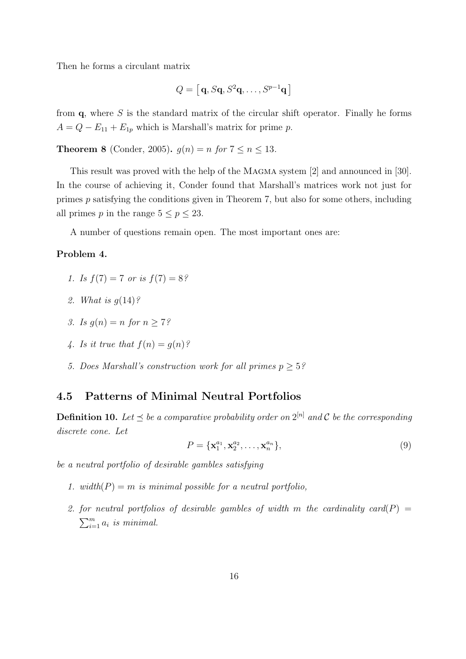Then he forms a circulant matrix

$$
Q = [\mathbf{q}, S\mathbf{q}, S^2\mathbf{q}, \dots, S^{p-1}\mathbf{q}]
$$

from  $\mathbf{q}$ , where S is the standard matrix of the circular shift operator. Finally he forms  $A = Q - E_{11} + E_{1p}$  which is Marshall's matrix for prime p.

**Theorem 8** (Conder, 2005).  $g(n) = n$  for  $7 \le n \le 13$ .

This result was proved with the help of the Magma system [2] and announced in [30]. In the course of achieving it, Conder found that Marshall's matrices work not just for primes p satisfying the conditions given in Theorem 7, but also for some others, including all primes p in the range  $5 \le p \le 23$ .

A number of questions remain open. The most important ones are:

#### Problem 4.

- 1. Is  $f(7) = 7$  or is  $f(7) = 8$ ?
- 2. What is  $q(14)$ ?
- 3. Is  $q(n) = n$  for  $n > 7$ ?
- 4. Is it true that  $f(n) = q(n)$ ?
- 5. Does Marshall's construction work for all primes  $p > 5$ ?

### 4.5 Patterns of Minimal Neutral Portfolios

**Definition 10.** Let  $\preceq$  be a comparative probability order on  $2^{[n]}$  and C be the corresponding discrete cone. Let

$$
P = \{ \mathbf{x}_1^{a_1}, \mathbf{x}_2^{a_2}, \dots, \mathbf{x}_n^{a_n} \},\tag{9}
$$

be a neutral portfolio of desirable gambles satisfying

- 1. width( $P$ ) = m is minimal possible for a neutral portfolio,
- 2. for neutral portfolios of desirable gambles of width m the cardinality card(P) =  $\sum_{i=1}^{m} a_i$  is minimal.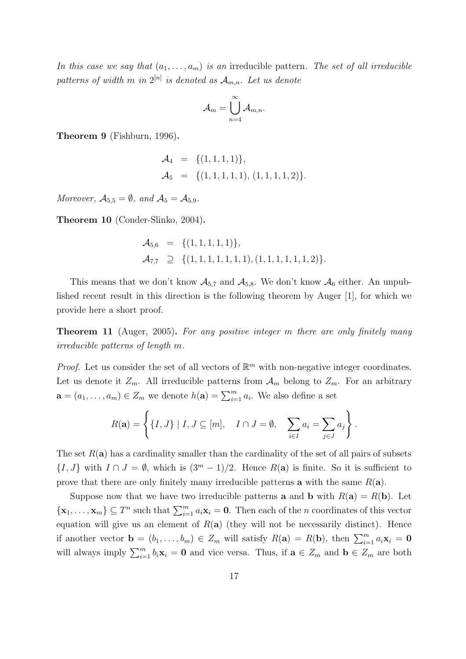In this case we say that  $(a_1, \ldots, a_m)$  is an irreducible pattern. The set of all irreducible patterns of width  $m$  in  $2^{[n]}$  is denoted as  $\mathcal{A}_{m,n}$ . Let us denote

$$
\mathcal{A}_m = \bigcup_{n=4}^\infty \mathcal{A}_{m,n}.
$$

Theorem 9 (Fishburn, 1996).

$$
\mathcal{A}_4 = \{ (1, 1, 1, 1) \}, \n\mathcal{A}_5 = \{ (1, 1, 1, 1, 1), (1, 1, 1, 1, 2) \}.
$$

Moreover,  $A_{5,5} = \emptyset$ , and  $A_5 = A_{5,9}$ .

Theorem 10 (Conder-Slinko, 2004).

$$
\mathcal{A}_{5,6} = \{ (1, 1, 1, 1, 1) \}, \mathcal{A}_{7,7} \supseteq \{ (1, 1, 1, 1, 1, 1, 1), (1, 1, 1, 1, 1, 1, 2) \}.
$$

This means that we don't know  $\mathcal{A}_{5,7}$  and  $\mathcal{A}_{5,8}$ . We don't know  $\mathcal{A}_6$  either. An unpublished recent result in this direction is the following theorem by Auger [1], for which we provide here a short proof.

**Theorem 11** (Auger, 2005). For any positive integer m there are only finitely many irreducible patterns of length m.

*Proof.* Let us consider the set of all vectors of  $\mathbb{R}^m$  with non-negative integer coordinates. Let us denote it  $Z_m$ . All irreducible patterns from  $\mathcal{A}_m$  belong to  $Z_m$ . For an arbitrary  $\mathbf{a} = (a_1, \dots, a_m) \in Z_m$  we denote  $h(\mathbf{a}) = \sum_{i=1}^m a_i$ . We also define a set

$$
R(\mathbf{a}) = \left\{ \{I, J\} \mid I, J \subseteq [m], \quad I \cap J = \emptyset, \quad \sum_{i \in I} a_i = \sum_{j \in J} a_j \right\}.
$$

The set  $R(a)$  has a cardinality smaller than the cardinality of the set of all pairs of subsets  $\{I, J\}$  with  $I \cap J = \emptyset$ , which is  $(3^m - 1)/2$ . Hence  $R(\mathbf{a})$  is finite. So it is sufficient to prove that there are only finitely many irreducible patterns **a** with the same  $R(\mathbf{a})$ .

Suppose now that we have two irreducible patterns **a** and **b** with  $R(\mathbf{a}) = R(\mathbf{b})$ . Let  $\{\mathbf x_1,\ldots,\mathbf x_m\}\subseteq T^n$  such that  $\sum_{i=1}^m a_i\mathbf x_i=\mathbf 0$ . Then each of the *n* coordinates of this vector equation will give us an element of  $R(a)$  (they will not be necessarily distinct). Hence if another vector  $\mathbf{b} = (b_1, \ldots, b_m) \in Z_m$  will satisfy  $R(\mathbf{a}) = R(\mathbf{b})$ , then  $\sum_{i=1}^{m} a_i \mathbf{x}_i = \mathbf{0}$ will always imply  $\sum_{i=1}^{m} b_i \mathbf{x}_i = \mathbf{0}$  and vice versa. Thus, if  $\mathbf{a} \in Z_m$  and  $\mathbf{b} \in Z_m$  are both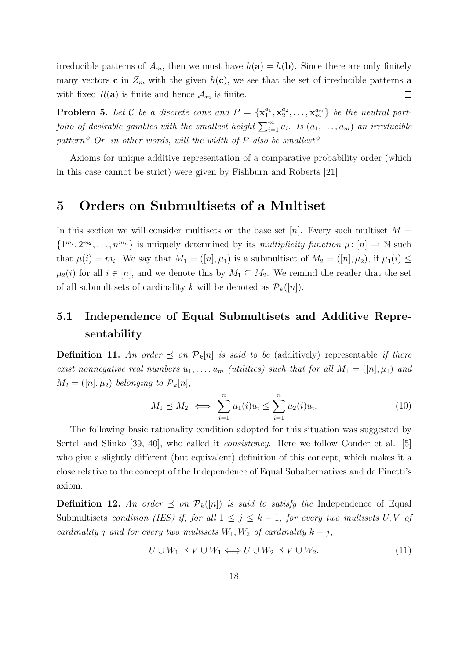irreducible patterns of  $\mathcal{A}_m$ , then we must have  $h(\mathbf{a}) = h(\mathbf{b})$ . Since there are only finitely many vectors **c** in  $Z_m$  with the given  $h(c)$ , we see that the set of irreducible patterns **a** with fixed  $R(\mathbf{a})$  is finite and hence  $\mathcal{A}_m$  is finite.  $\Box$ 

**Problem 5.** Let C be a discrete cone and  $P = \{x_1^{a_1}\}$  $\frac{a_1}{1}, \mathbf{x}_2^{a_2}$  $\{a_2^a, \ldots, \mathbf{x}_m^{a_m}\}$  be the neutral portfolio of desirable gambles with the smallest height  $\sum_{i=1}^{m} a_i$ . Is  $(a_1, \ldots, a_m)$  an irreducible pattern? Or, in other words, will the width of P also be smallest?

Axioms for unique additive representation of a comparative probability order (which in this case cannot be strict) were given by Fishburn and Roberts [21].

## 5 Orders on Submultisets of a Multiset

In this section we will consider multisets on the base set [n]. Every such multiset  $M =$  $\{1^{m_i}, 2^{m_2}, \ldots, n^{m_n}\}\$ is uniquely determined by its multiplicity function  $\mu: [n] \to \mathbb{N}$  such that  $\mu(i) = m_i$ . We say that  $M_1 = ([n], \mu_1)$  is a submultiset of  $M_2 = ([n], \mu_2)$ , if  $\mu_1(i) \leq$  $\mu_2(i)$  for all  $i \in [n]$ , and we denote this by  $M_1 \subseteq M_2$ . We remind the reader that the set of all submultisets of cardinality k will be denoted as  $\mathcal{P}_k([n])$ .

# 5.1 Independence of Equal Submultisets and Additive Representability

**Definition 11.** An order  $\leq$  on  $\mathcal{P}_k[n]$  is said to be (additively) representable if there exist nonnegative real numbers  $u_1, \ldots, u_m$  (utilities) such that for all  $M_1 = ([n], \mu_1)$  and  $M_2 = ([n], \mu_2)$  belonging to  $\mathcal{P}_k[n],$ 

$$
M_1 \preceq M_2 \iff \sum_{i=1}^n \mu_1(i) u_i \le \sum_{i=1}^n \mu_2(i) u_i. \tag{10}
$$

The following basic rationality condition adopted for this situation was suggested by Sertel and Slinko [39, 40], who called it consistency. Here we follow Conder et al. [5] who give a slightly different (but equivalent) definition of this concept, which makes it a close relative to the concept of the Independence of Equal Subalternatives and de Finetti's axiom.

**Definition 12.** An order  $\leq$  on  $\mathcal{P}_k([n])$  is said to satisfy the Independence of Equal Submultisets condition (IES) if, for all  $1 \leq j \leq k-1$ , for every two multisets U, V of cardinality j and for every two multisets  $W_1, W_2$  of cardinality  $k - j$ ,

$$
U \cup W_1 \preceq V \cup W_1 \Longleftrightarrow U \cup W_2 \preceq V \cup W_2. \tag{11}
$$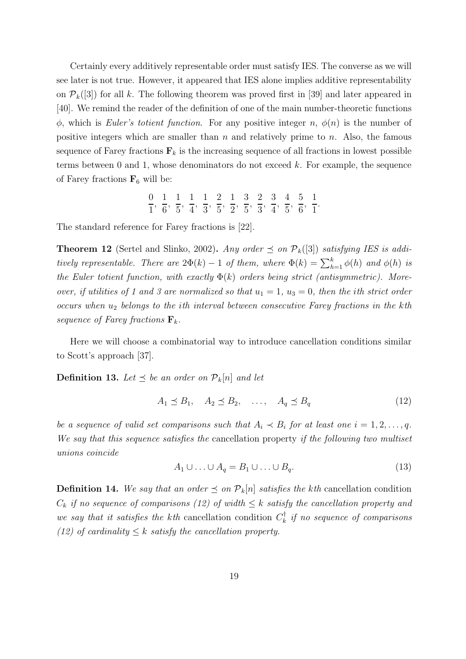Certainly every additively representable order must satisfy IES. The converse as we will see later is not true. However, it appeared that IES alone implies additive representability on  $P_k([3])$  for all k. The following theorem was proved first in [39] and later appeared in [40]. We remind the reader of the definition of one of the main number-theoretic functions  $\phi$ , which is Euler's totient function. For any positive integer n,  $\phi(n)$  is the number of positive integers which are smaller than  $n$  and relatively prime to  $n$ . Also, the famous sequence of Farey fractions  $\mathbf{F}_k$  is the increasing sequence of all fractions in lowest possible terms between 0 and 1, whose denominators do not exceed  $k$ . For example, the sequence of Farey fractions  $\mathbf{F}_6$  will be:

$$
\frac{0}{1}, \frac{1}{6}, \frac{1}{5}, \frac{1}{4}, \frac{1}{3}, \frac{2}{5}, \frac{1}{2}, \frac{3}{5}, \frac{2}{3}, \frac{3}{4}, \frac{4}{5}, \frac{5}{6}, \frac{1}{1}
$$

The standard reference for Farey fractions is [22].

**Theorem 12** (Sertel and Slinko, 2002). Any order  $\preceq$  on  $\mathcal{P}_k([3])$  satisfying IES is additively representable. There are  $2\Phi(k) - 1$  of them, where  $\Phi(k) = \sum_{h=1}^{k} \phi(h)$  and  $\phi(h)$  is the Euler totient function, with exactly  $\Phi(k)$  orders being strict (antisymmetric). Moreover, if utilities of 1 and 3 are normalized so that  $u_1 = 1$ ,  $u_3 = 0$ , then the ith strict order occurs when  $u_2$  belongs to the ith interval between consecutive Farey fractions in the kth sequence of Farey fractions  $\mathbf{F}_k$ .

Here we will choose a combinatorial way to introduce cancellation conditions similar to Scott's approach [37].

**Definition 13.** Let  $\leq$  be an order on  $\mathcal{P}_k[n]$  and let

$$
A_1 \preceq B_1, \quad A_2 \preceq B_2, \quad \dots, \quad A_q \preceq B_q \tag{12}
$$

.

be a sequence of valid set comparisons such that  $A_i \prec B_i$  for at least one  $i = 1, 2, \ldots, q$ . We say that this sequence satisfies the cancellation property if the following two multiset unions coincide

$$
A_1 \cup \ldots \cup A_q = B_1 \cup \ldots \cup B_q. \tag{13}
$$

**Definition 14.** We say that an order  $\leq$  on  $\mathcal{P}_k[n]$  satisfies the kth cancellation condition  $C_k$  if no sequence of comparisons (12) of width  $\leq k$  satisfy the cancellation property and we say that it satisfies the kth cancellation condition  $C_k^{\dagger}$  $\begin{array}{c} \n\sqrt[n]{\hbar} \quad \text{if} \quad no \quad sequence \quad of \quad comparisons.\n\end{array}$ (12) of cardinality  $\leq k$  satisfy the cancellation property.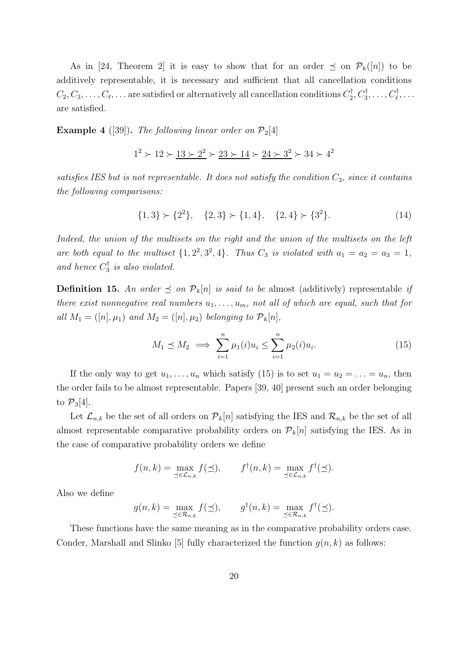As in [24, Theorem 2] it is easy to show that for an order  $\preceq$  on  $\mathcal{P}_k([n])$  to be additively representable, it is necessary and sufficient that all cancellation conditions  $C_2, C_3, \ldots, C_\ell, \ldots$  are satisfied or alternatively all cancellation conditions  $C_2^\dagger$  $C_2^{\dagger}, C_3^{\dagger}, \ldots, C_\ell^{\dagger}, \ldots$ are satisfied.

**Example 4** ([39]). The following linear order on  $\mathcal{P}_2[4]$ 

$$
1^2 \succ 12 \succ \underline{13 \succ 2^2} \succ \underline{23 \succ 14} \succ \underline{24 \succ 3^2} \succ 34 \succ 4^2
$$

satisfies IES but is not representable. It does not satisfy the condition  $C_3$ , since it contains the following comparisons:

$$
\{1,3\} \succ \{2^2\}, \quad \{2,3\} \succ \{1,4\}, \quad \{2,4\} \succ \{3^2\}. \tag{14}
$$

Indeed, the union of the multisets on the right and the union of the multisets on the left are both equal to the multiset  $\{1, 2^2, 3^2, 4\}$ . Thus  $C_3$  is violated with  $a_1 = a_2 = a_3 = 1$ , and hence  $C_3^{\dagger}$  $\frac{1}{3}$  is also violated.

**Definition 15.** An order  $\leq$  on  $\mathcal{P}_k[n]$  is said to be almost (additively) representable if there exist nonnegative real numbers  $u_1, \ldots, u_m$ , not all of which are equal, such that for all  $M_1 = ([n], \mu_1)$  and  $M_2 = ([n], \mu_2)$  belonging to  $\mathcal{P}_k[n],$ 

$$
M_1 \le M_2 \implies \sum_{i=1}^n \mu_1(i) u_i \le \sum_{i=1}^n \mu_2(i) u_i. \tag{15}
$$

If the only way to get  $u_1, \ldots, u_n$  which satisfy (15) is to set  $u_1 = u_2 = \ldots = u_n$ , then the order fails to be almost representable. Papers [39, 40] present such an order belonging to  $\mathcal{P}_3[4]$ .

Let  $\mathcal{L}_{n,k}$  be the set of all orders on  $\mathcal{P}_k[n]$  satisfying the IES and  $\mathcal{R}_{n,k}$  be the set of all almost representable comparative probability orders on  $P_k[n]$  satisfying the IES. As in the case of comparative probability orders we define

$$
f(n,k) = \max_{\preceq \in \mathcal{L}_{n,k}} f(\preceq), \qquad f^{\dagger}(n,k) = \max_{\preceq \in \mathcal{L}_{n,k}} f^{\dagger}(\preceq).
$$

Also we define

$$
g(n,k) = \max_{\preceq \in \mathcal{R}_{n,k}} f(\preceq), \qquad g^{\dagger}(n,k) = \max_{\preceq \in \mathcal{R}_{n,k}} f^{\dagger}(\preceq).
$$

These functions have the same meaning as in the comparative probability orders case. Conder, Marshall and Slinko [5] fully characterized the function  $g(n, k)$  as follows: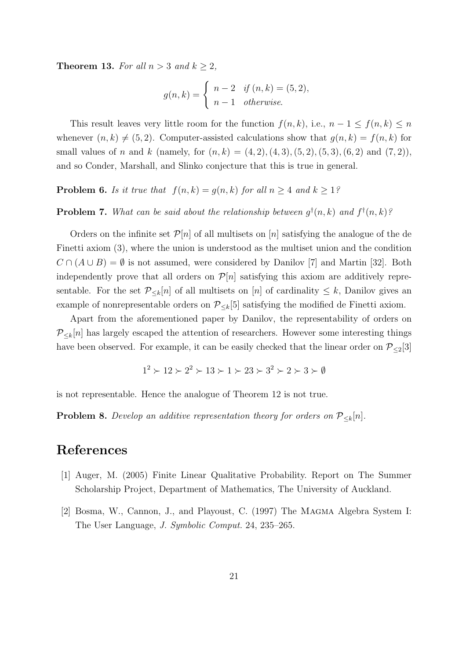**Theorem 13.** For all  $n > 3$  and  $k \geq 2$ ,

$$
g(n,k) = \begin{cases} n-2 & \text{if } (n,k) = (5,2), \\ n-1 & \text{otherwise.} \end{cases}
$$

This result leaves very little room for the function  $f(n, k)$ , i.e.,  $n - 1 \le f(n, k) \le n$ whenever  $(n, k) \neq (5, 2)$ . Computer-assisted calculations show that  $g(n, k) = f(n, k)$  for small values of n and k (namely, for  $(n, k) = (4, 2), (4, 3), (5, 2), (5, 3), (6, 2)$  and  $(7, 2)$ ), and so Conder, Marshall, and Slinko conjecture that this is true in general.

**Problem 6.** Is it true that  $f(n, k) = g(n, k)$  for all  $n \geq 4$  and  $k \geq 1$ ?

### **Problem 7.** What can be said about the relationship between  $g^{\dagger}(n,k)$  and  $f^{\dagger}(n,k)$ ?

Orders on the infinite set  $\mathcal{P}[n]$  of all multisets on [n] satisfying the analogue of the de Finetti axiom (3), where the union is understood as the multiset union and the condition  $C \cap (A \cup B) = \emptyset$  is not assumed, were considered by Danilov [7] and Martin [32]. Both independently prove that all orders on  $\mathcal{P}[n]$  satisfying this axiom are additively representable. For the set  $\mathcal{P}_{\leq k}[n]$  of all multisets on [n] of cardinality  $\leq k$ , Danilov gives an example of nonrepresentable orders on  $P_{\leq k}[5]$  satisfying the modified de Finetti axiom.

Apart from the aforementioned paper by Danilov, the representability of orders on  $P_{\leq k}[n]$  has largely escaped the attention of researchers. However some interesting things have been observed. For example, it can be easily checked that the linear order on  $\mathcal{P}_{\leq 2}[3]$ 

$$
1^2 \succ 12 \succ 2^2 \succ 13 \succ 1 \succ 23 \succ 3^2 \succ 2 \succ 3 \succ \emptyset
$$

is not representable. Hence the analogue of Theorem 12 is not true.

**Problem 8.** Develop an additive representation theory for orders on  $P_{\leq k}[n]$ .

## References

- [1] Auger, M. (2005) Finite Linear Qualitative Probability. Report on The Summer Scholarship Project, Department of Mathematics, The University of Auckland.
- [2] Bosma, W., Cannon, J., and Playoust, C. (1997) The Magma Algebra System I: The User Language, J. Symbolic Comput. 24, 235–265.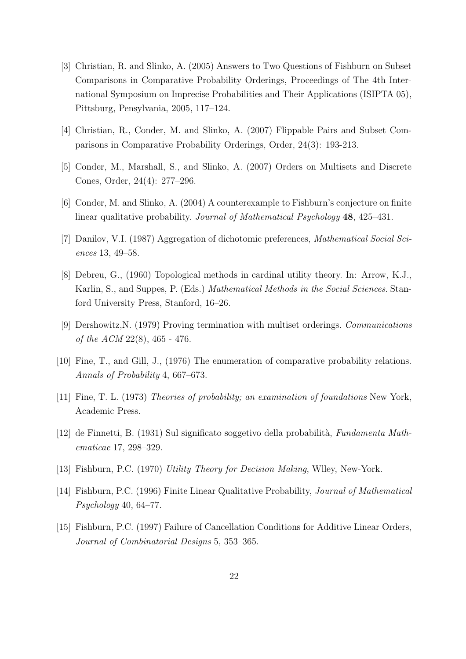- [3] Christian, R. and Slinko, A. (2005) Answers to Two Questions of Fishburn on Subset Comparisons in Comparative Probability Orderings, Proceedings of The 4th International Symposium on Imprecise Probabilities and Their Applications (ISIPTA 05), Pittsburg, Pensylvania, 2005, 117–124.
- [4] Christian, R., Conder, M. and Slinko, A. (2007) Flippable Pairs and Subset Comparisons in Comparative Probability Orderings, Order, 24(3): 193-213.
- [5] Conder, M., Marshall, S., and Slinko, A. (2007) Orders on Multisets and Discrete Cones, Order, 24(4): 277–296.
- [6] Conder, M. and Slinko, A. (2004) A counterexample to Fishburn's conjecture on finite linear qualitative probability. Journal of Mathematical Psychology 48, 425–431.
- [7] Danilov, V.I. (1987) Aggregation of dichotomic preferences, Mathematical Social Sciences 13, 49–58.
- [8] Debreu, G., (1960) Topological methods in cardinal utility theory. In: Arrow, K.J., Karlin, S., and Suppes, P. (Eds.) Mathematical Methods in the Social Sciences. Stanford University Press, Stanford, 16–26.
- [9] Dershowitz,N. (1979) Proving termination with multiset orderings. Communications of the ACM 22(8), 465 - 476.
- [10] Fine, T., and Gill, J., (1976) The enumeration of comparative probability relations. Annals of Probability 4, 667–673.
- [11] Fine, T. L. (1973) Theories of probability; an examination of foundations New York, Academic Press.
- [12] de Finnetti, B. (1931) Sul significato soggetivo della probabilità, Fundamenta Mathematicae 17, 298–329.
- [13] Fishburn, P.C. (1970) Utility Theory for Decision Making, Wlley, New-York.
- [14] Fishburn, P.C. (1996) Finite Linear Qualitative Probability, Journal of Mathematical Psychology 40, 64–77.
- [15] Fishburn, P.C. (1997) Failure of Cancellation Conditions for Additive Linear Orders, Journal of Combinatorial Designs 5, 353–365.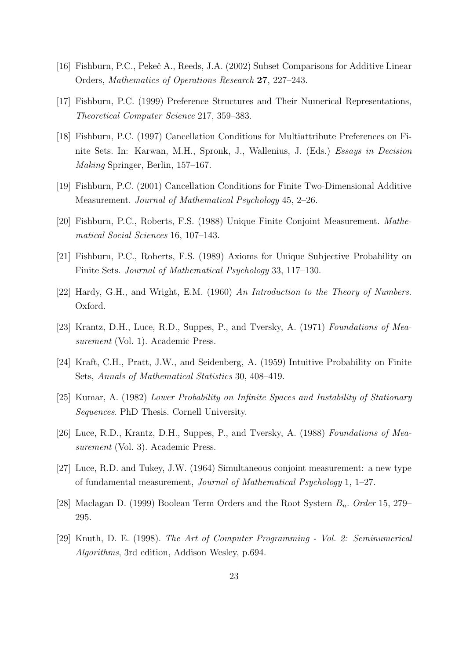- [16] Fishburn, P.C., Pekeč A., Reeds, J.A. (2002) Subset Comparisons for Additive Linear Orders, Mathematics of Operations Research 27, 227–243.
- [17] Fishburn, P.C. (1999) Preference Structures and Their Numerical Representations, Theoretical Computer Science 217, 359–383.
- [18] Fishburn, P.C. (1997) Cancellation Conditions for Multiattribute Preferences on Finite Sets. In: Karwan, M.H., Spronk, J., Wallenius, J. (Eds.) Essays in Decision Making Springer, Berlin, 157–167.
- [19] Fishburn, P.C. (2001) Cancellation Conditions for Finite Two-Dimensional Additive Measurement. Journal of Mathematical Psychology 45, 2–26.
- [20] Fishburn, P.C., Roberts, F.S. (1988) Unique Finite Conjoint Measurement. Mathematical Social Sciences 16, 107–143.
- [21] Fishburn, P.C., Roberts, F.S. (1989) Axioms for Unique Subjective Probability on Finite Sets. Journal of Mathematical Psychology 33, 117–130.
- [22] Hardy, G.H., and Wright, E.M. (1960) An Introduction to the Theory of Numbers. Oxford.
- [23] Krantz, D.H., Luce, R.D., Suppes, P., and Tversky, A. (1971) Foundations of Measurement (Vol. 1). Academic Press.
- [24] Kraft, C.H., Pratt, J.W., and Seidenberg, A. (1959) Intuitive Probability on Finite Sets, Annals of Mathematical Statistics 30, 408–419.
- [25] Kumar, A. (1982) Lower Probability on Infinite Spaces and Instability of Stationary Sequences. PhD Thesis. Cornell University.
- [26] Luce, R.D., Krantz, D.H., Suppes, P., and Tversky, A. (1988) Foundations of Measurement (Vol. 3). Academic Press.
- [27] Luce, R.D. and Tukey, J.W. (1964) Simultaneous conjoint measurement: a new type of fundamental measurement, Journal of Mathematical Psychology 1, 1–27.
- [28] Maclagan D. (1999) Boolean Term Orders and the Root System  $B_n$ . Order 15, 279– 295.
- [29] Knuth, D. E. (1998). The Art of Computer Programming Vol. 2: Seminumerical Algorithms, 3rd edition, Addison Wesley, p.694.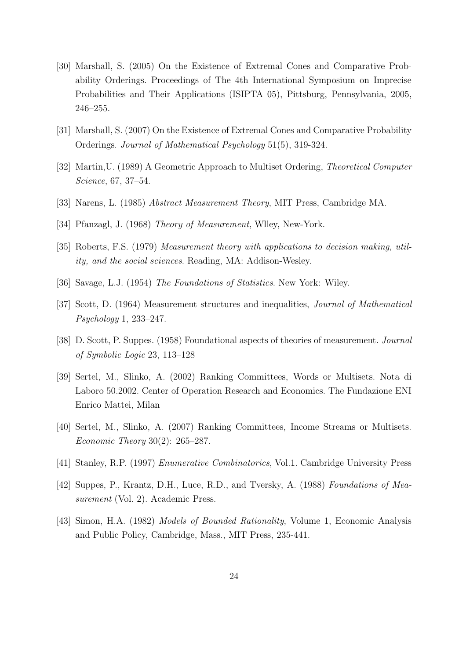- [30] Marshall, S. (2005) On the Existence of Extremal Cones and Comparative Probability Orderings. Proceedings of The 4th International Symposium on Imprecise Probabilities and Their Applications (ISIPTA 05), Pittsburg, Pennsylvania, 2005, 246–255.
- [31] Marshall, S. (2007) On the Existence of Extremal Cones and Comparative Probability Orderings. Journal of Mathematical Psychology 51(5), 319-324.
- [32] Martin,U. (1989) A Geometric Approach to Multiset Ordering, Theoretical Computer Science, 67, 37–54.
- [33] Narens, L. (1985) Abstract Measurement Theory, MIT Press, Cambridge MA.
- [34] Pfanzagl, J. (1968) Theory of Measurement, Wlley, New-York.
- [35] Roberts, F.S. (1979) Measurement theory with applications to decision making, utility, and the social sciences. Reading, MA: Addison-Wesley.
- [36] Savage, L.J. (1954) The Foundations of Statistics. New York: Wiley.
- [37] Scott, D. (1964) Measurement structures and inequalities, Journal of Mathematical Psychology 1, 233–247.
- [38] D. Scott, P. Suppes. (1958) Foundational aspects of theories of measurement. Journal of Symbolic Logic 23, 113–128
- [39] Sertel, M., Slinko, A. (2002) Ranking Committees, Words or Multisets. Nota di Laboro 50.2002. Center of Operation Research and Economics. The Fundazione ENI Enrico Mattei, Milan
- [40] Sertel, M., Slinko, A. (2007) Ranking Committees, Income Streams or Multisets. Economic Theory 30(2): 265–287.
- [41] Stanley, R.P. (1997) Enumerative Combinatorics, Vol.1. Cambridge University Press
- [42] Suppes, P., Krantz, D.H., Luce, R.D., and Tversky, A. (1988) Foundations of Measurement (Vol. 2). Academic Press.
- [43] Simon, H.A. (1982) Models of Bounded Rationality, Volume 1, Economic Analysis and Public Policy, Cambridge, Mass., MIT Press, 235-441.